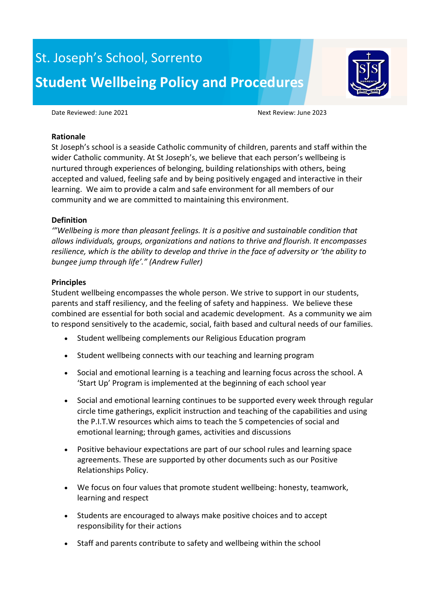# St. Joseph's School, Sorrento **Student Wellbeing Policy and Procedures**



Date Reviewed: June 2021 and the contract of the Next Review: June 2023

#### **Rationale**

St Joseph's school is a seaside Catholic community of children, parents and staff within the wider Catholic community. At St Joseph's, we believe that each person's wellbeing is nurtured through experiences of belonging, building relationships with others, being accepted and valued, feeling safe and by being positively engaged and interactive in their learning. We aim to provide a calm and safe environment for all members of our community and we are committed to maintaining this environment.

# **Definition**

*'"Wellbeing is more than pleasant feelings. It is a positive and sustainable condition that allows individuals, groups, organizations and nations to thrive and flourish. It encompasses resilience, which is the ability to develop and thrive in the face of adversity or 'the ability to bungee jump through life'." (Andrew Fuller)*

## **Principles**

Student wellbeing encompasses the whole person. We strive to support in our students, parents and staff resiliency, and the feeling of safety and happiness. We believe these combined are essential for both social and academic development. As a community we aim to respond sensitively to the academic, social, faith based and cultural needs of our families.

- Student wellbeing complements our Religious Education program
- Student wellbeing connects with our teaching and learning program
- Social and emotional learning is a teaching and learning focus across the school. A 'Start Up' Program is implemented at the beginning of each school year
- Social and emotional learning continues to be supported every week through regular circle time gatherings, explicit instruction and teaching of the capabilities and using the P.I.T.W resources which aims to teach the 5 competencies of social and emotional learning; through games, activities and discussions
- Positive behaviour expectations are part of our school rules and learning space agreements. These are supported by other documents such as our Positive Relationships Policy.
- We focus on four values that promote student wellbeing: honesty, teamwork, learning and respect
- Students are encouraged to always make positive choices and to accept responsibility for their actions
- Staff and parents contribute to safety and wellbeing within the school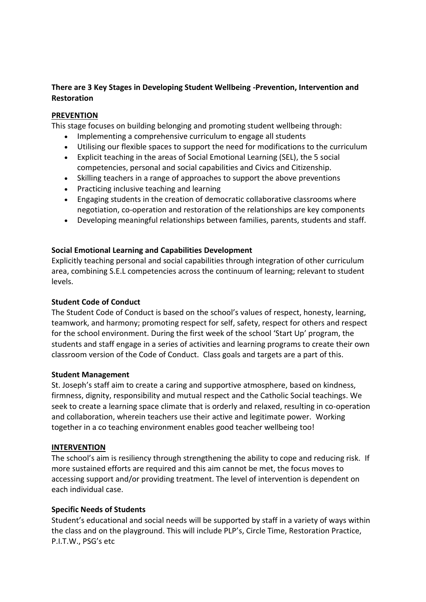# **There are 3 Key Stages in Developing Student Wellbeing -Prevention, Intervention and Restoration**

## **PREVENTION**

This stage focuses on building belonging and promoting student wellbeing through:

- Implementing a comprehensive curriculum to engage all students
- Utilising our flexible spaces to support the need for modifications to the curriculum
- Explicit teaching in the areas of Social Emotional Learning (SEL), the 5 social competencies, personal and social capabilities and Civics and Citizenship.
- Skilling teachers in a range of approaches to support the above preventions
- Practicing inclusive teaching and learning
- Engaging students in the creation of democratic collaborative classrooms where negotiation, co-operation and restoration of the relationships are key components
- Developing meaningful relationships between families, parents, students and staff.

## **Social Emotional Learning and Capabilities Development**

Explicitly teaching personal and social capabilities through integration of other curriculum area, combining S.E.L competencies across the continuum of learning; relevant to student levels.

#### **Student Code of Conduct**

The Student Code of Conduct is based on the school's values of respect, honesty, learning, teamwork, and harmony; promoting respect for self, safety, respect for others and respect for the school environment. During the first week of the school 'Start Up' program, the students and staff engage in a series of activities and learning programs to create their own classroom version of the Code of Conduct. Class goals and targets are a part of this.

#### **Student Management**

St. Joseph's staff aim to create a caring and supportive atmosphere, based on kindness, firmness, dignity, responsibility and mutual respect and the Catholic Social teachings. We seek to create a learning space climate that is orderly and relaxed, resulting in co-operation and collaboration, wherein teachers use their active and legitimate power. Working together in a co teaching environment enables good teacher wellbeing too!

#### **INTERVENTION**

The school's aim is resiliency through strengthening the ability to cope and reducing risk. If more sustained efforts are required and this aim cannot be met, the focus moves to accessing support and/or providing treatment. The level of intervention is dependent on each individual case.

#### **Specific Needs of Students**

Student's educational and social needs will be supported by staff in a variety of ways within the class and on the playground. This will include PLP's, Circle Time, Restoration Practice, P.I.T.W., PSG's etc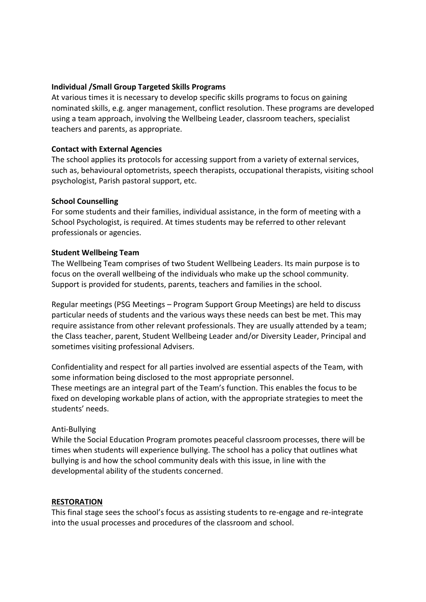## **Individual /Small Group Targeted Skills Programs**

At various times it is necessary to develop specific skills programs to focus on gaining nominated skills, e.g. anger management, conflict resolution. These programs are developed using a team approach, involving the Wellbeing Leader, classroom teachers, specialist teachers and parents, as appropriate.

## **Contact with External Agencies**

The school applies its protocols for accessing support from a variety of external services, such as, behavioural optometrists, speech therapists, occupational therapists, visiting school psychologist, Parish pastoral support, etc.

## **School Counselling**

For some students and their families, individual assistance, in the form of meeting with a School Psychologist, is required. At times students may be referred to other relevant professionals or agencies.

## **Student Wellbeing Team**

The Wellbeing Team comprises of two Student Wellbeing Leaders. Its main purpose is to focus on the overall wellbeing of the individuals who make up the school community. Support is provided for students, parents, teachers and families in the school.

Regular meetings (PSG Meetings – Program Support Group Meetings) are held to discuss particular needs of students and the various ways these needs can best be met. This may require assistance from other relevant professionals. They are usually attended by a team; the Class teacher, parent, Student Wellbeing Leader and/or Diversity Leader, Principal and sometimes visiting professional Advisers.

Confidentiality and respect for all parties involved are essential aspects of the Team, with some information being disclosed to the most appropriate personnel. These meetings are an integral part of the Team's function. This enables the focus to be fixed on developing workable plans of action, with the appropriate strategies to meet the students' needs.

#### Anti-Bullying

While the Social Education Program promotes peaceful classroom processes, there will be times when students will experience bullying. The school has a policy that outlines what bullying is and how the school community deals with this issue, in line with the developmental ability of the students concerned.

#### **RESTORATION**

This final stage sees the school's focus as assisting students to re-engage and re-integrate into the usual processes and procedures of the classroom and school.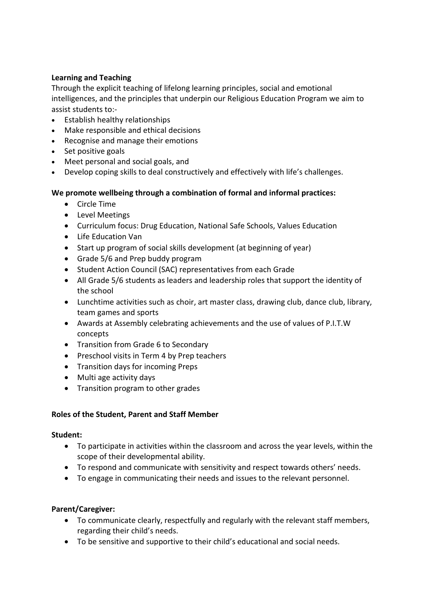# **Learning and Teaching**

Through the explicit teaching of lifelong learning principles, social and emotional intelligences, and the principles that underpin our Religious Education Program we aim to assist students to:-

- Establish healthy relationships
- Make responsible and ethical decisions
- Recognise and manage their emotions
- Set positive goals
- Meet personal and social goals, and
- Develop coping skills to deal constructively and effectively with life's challenges.

# **We promote wellbeing through a combination of formal and informal practices:**

- Circle Time
- Level Meetings
- Curriculum focus: Drug Education, National Safe Schools, Values Education
- Life Education Van
- Start up program of social skills development (at beginning of year)
- Grade 5/6 and Prep buddy program
- Student Action Council (SAC) representatives from each Grade
- All Grade 5/6 students as leaders and leadership roles that support the identity of the school
- Lunchtime activities such as choir, art master class, drawing club, dance club, library, team games and sports
- Awards at Assembly celebrating achievements and the use of values of P.I.T.W concepts
- Transition from Grade 6 to Secondary
- Preschool visits in Term 4 by Prep teachers
- Transition days for incoming Preps
- Multi age activity days
- Transition program to other grades

# **Roles of the Student, Parent and Staff Member**

# **Student:**

- To participate in activities within the classroom and across the year levels, within the scope of their developmental ability.
- To respond and communicate with sensitivity and respect towards others' needs.
- To engage in communicating their needs and issues to the relevant personnel.

# **Parent/Caregiver:**

- To communicate clearly, respectfully and regularly with the relevant staff members, regarding their child's needs.
- To be sensitive and supportive to their child's educational and social needs.